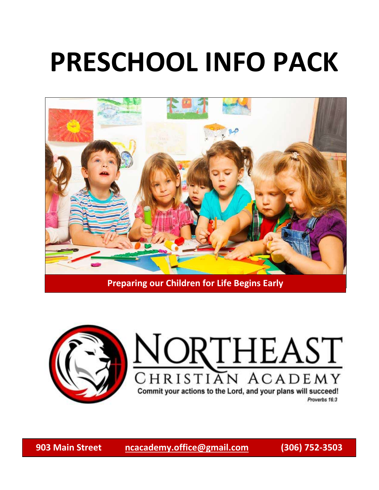# **PRESCHOOL INFO PACK**



**Preparing our Children for Life Begins Early**



**903 Main Street [ncacademy.office@gmail.com](mailto:ncacademy.office@gmail.com) (306) 752-3503**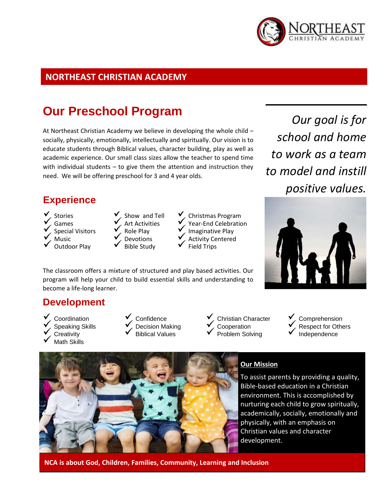

#### **NORTHEAST CHRISTIAN ACADEMY**

### **Our Preschool Program**

At Northeast Christian Academy we believe in developing the whole child – socially, physically, emotionally, intellectually and spiritually. Our vision is to educate students through Biblical values, character building, play as well as academic experience. Our small class sizes allow the teacher to spend time with individual students – to give them the attention and instruction they need. We will be offering preschool for 3 and 4 year olds.

#### **Experience**

- 
- 
- Stories<br> Games<br> Special Visitors<br> Music<br> Outdoor Play
- 
- 
- Show and Tell<br>
Art Activities<br>
Role Play<br>
Devotions<br>
Bible Study
- 
- 
- Christmas Program Year-End Celebration Imaginative Play Activity Centered Field Trips
	-

*Our goal is for school and home to work as a team to model and instill positive values.*



The classroom offers a mixture of structured and play based activities. Our program will help your child to build essential skills and understanding to become a life-long learner.

#### **Development**

- 
- Coordination Speaking Skills Creativity Math Skills
- 
- 
- Confidence Decision Making Biblical Values
- Christian Character Cooperation Problem Solving
- Comprehension Respect for Others Independence



#### **Our Mission**

To assist parents by providing a quality, Bible-based education in a Christian environment. This is accomplished by nurturing each child to grow spiritually, academically, socially, emotionally and physically, with an emphasis on Christian values and character development.

**NCA is about God, Children, Families, Community, Learning and Inclusion**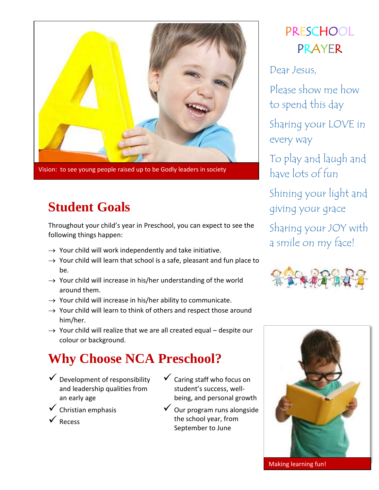

Vision: to see young people raised up to be Godly leaders in society

# **Student Goals**

Throughout your child's year in Preschool, you can expect to see the following things happen:

- $\rightarrow$  Your child will work independently and take initiative.
- $\rightarrow$  Your child will learn that school is a safe, pleasant and fun place to be.
- $\rightarrow$  Your child will increase in his/her understanding of the world around them.
- $\rightarrow$  Your child will increase in his/her ability to communicate.
- $\rightarrow$  Your child will learn to think of others and respect those around him/her.
- $\rightarrow$  Your child will realize that we are all created equal despite our colour or background.

# **Why Choose NCA Preschool?**

- $\checkmark$  Development of responsibility and leadership qualities from an early age
- $\checkmark$  Christian emphasis
- $\sqrt{R}$
- $\checkmark$  Caring staff who focus on student's success, wellbeing, and personal growth
- $\checkmark$  Our program runs alongside the school year, from September to June

# PRESCHOOL PRAYER

Dear Jesus,

Please show me how to spend this day

Sharing your LOVE in every way

To play and laugh and have lots of fun

Shining your light and giving your grace

Sharing your JOY with a smile on my face!





Making learning fun!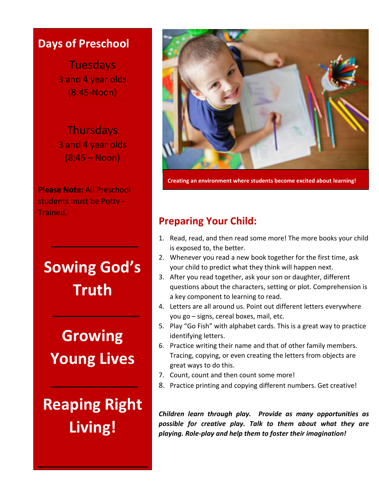### **Days of Preschool**

Tuesdays 3 and 4 year olds (8:45-Noon)

Thursdays 3 and 4 year olds (8:45 – Noon)

**Please Note:** All Preschool students must be Potty - Trained.

**Sowing God's Truth**

# **Growing Young Lives**

**Reaping Right Living!**



**Creating an environment where students become excited about learning!**

### **Preparing Your Child:**

- 1. Read, read, and then read some more! The more books your child is exposed to, the better.
- 2. Whenever you read a new book together for the first time, ask your child to predict what they think will happen next.
- 3. After you read together, ask your son or daughter, different questions about the characters, setting or plot. Comprehension is a key component to learning to read.
- 4. Letters are all around us. Point out different letters everywhere you go – signs, cereal boxes, mail, etc.
- 5. Play "Go Fish" with alphabet cards. This is a great way to practice identifying letters.
- 6. Practice writing their name and that of other family members. Tracing, copying, or even creating the letters from objects are great ways to do this.
- 7. Count, count and then count some more!
- 8. Practice printing and copying different numbers. Get creative!

*Children learn through play. Provide as many opportunities as possible for creative play. Talk to them about what they are playing. Role-play and help them to foster their imagination!*